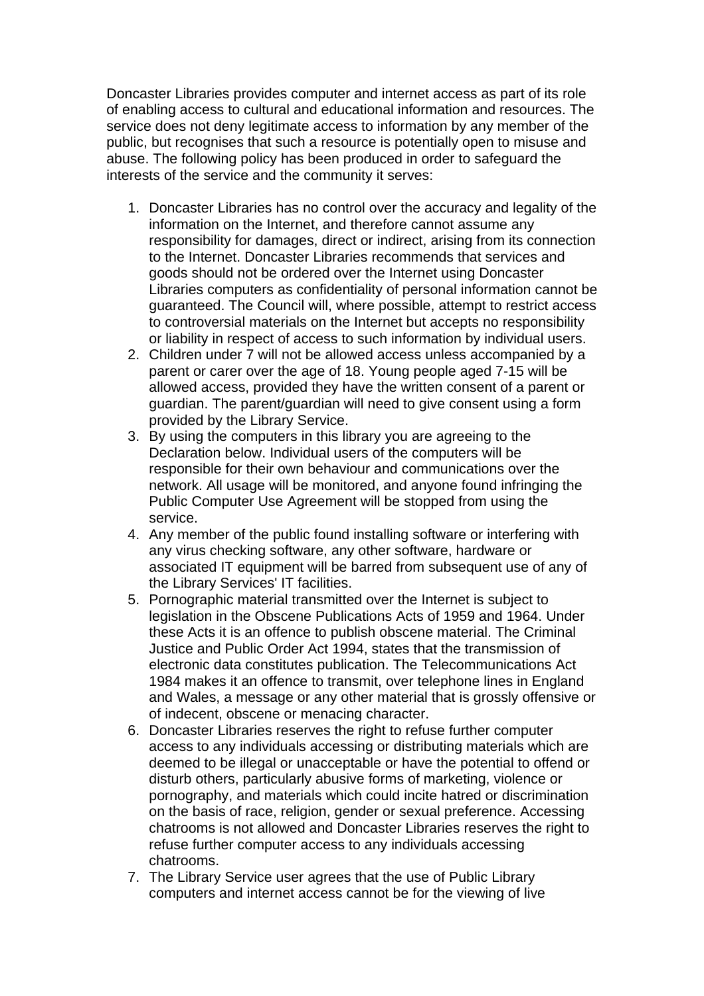Doncaster Libraries provides computer and internet access as part of its role of enabling access to cultural and educational information and resources. The service does not deny legitimate access to information by any member of the public, but recognises that such a resource is potentially open to misuse and abuse. The following policy has been produced in order to safeguard the interests of the service and the community it serves:

- 1. Doncaster Libraries has no control over the accuracy and legality of the information on the Internet, and therefore cannot assume any responsibility for damages, direct or indirect, arising from its connection to the Internet. Doncaster Libraries recommends that services and goods should not be ordered over the Internet using Doncaster Libraries computers as confidentiality of personal information cannot be guaranteed. The Council will, where possible, attempt to restrict access to controversial materials on the Internet but accepts no responsibility or liability in respect of access to such information by individual users.
- 2. Children under 7 will not be allowed access unless accompanied by a parent or carer over the age of 18. Young people aged 7-15 will be allowed access, provided they have the written consent of a parent or guardian. The parent/guardian will need to give consent using a form provided by the Library Service.
- 3. By using the computers in this library you are agreeing to the Declaration below. Individual users of the computers will be responsible for their own behaviour and communications over the network. All usage will be monitored, and anyone found infringing the Public Computer Use Agreement will be stopped from using the service.
- 4. Any member of the public found installing software or interfering with any virus checking software, any other software, hardware or associated IT equipment will be barred from subsequent use of any of the Library Services' IT facilities.
- 5. Pornographic material transmitted over the Internet is subject to legislation in the Obscene Publications Acts of 1959 and 1964. Under these Acts it is an offence to publish obscene material. The Criminal Justice and Public Order Act 1994, states that the transmission of electronic data constitutes publication. The Telecommunications Act 1984 makes it an offence to transmit, over telephone lines in England and Wales, a message or any other material that is grossly offensive or of indecent, obscene or menacing character.
- 6. Doncaster Libraries reserves the right to refuse further computer access to any individuals accessing or distributing materials which are deemed to be illegal or unacceptable or have the potential to offend or disturb others, particularly abusive forms of marketing, violence or pornography, and materials which could incite hatred or discrimination on the basis of race, religion, gender or sexual preference. Accessing chatrooms is not allowed and Doncaster Libraries reserves the right to refuse further computer access to any individuals accessing chatrooms.
- 7. The Library Service user agrees that the use of Public Library computers and internet access cannot be for the viewing of live